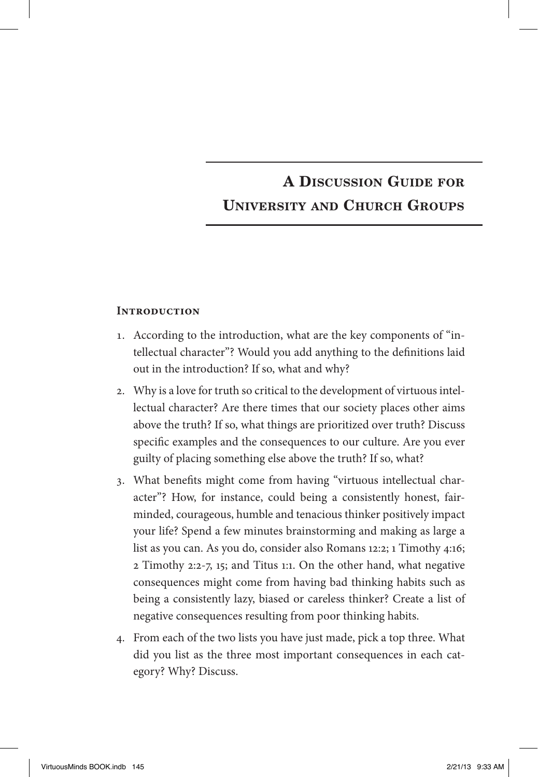# A Discussion Guide for University and Church Groups

#### **Introduction**

- 1. According to the introduction, what are the key components of "intellectual character"? Would you add anything to the definitions laid out in the introduction? If so, what and why?
- 2. Why is a love for truth so critical to the development of virtuous intellectual character? Are there times that our society places other aims above the truth? If so, what things are prioritized over truth? Discuss specific examples and the consequences to our culture. Are you ever guilty of placing something else above the truth? If so, what?
- 3. What benefits might come from having "virtuous intellectual character"? How, for instance, could being a consistently honest, fairminded, courageous, humble and tenacious thinker positively impact your life? Spend a few minutes brainstorming and making as large a list as you can. As you do, consider also Romans 12:2; 1 Timothy 4:16; 2 Timothy 2:2-7, 15; and Titus 1:1. On the other hand, what negative consequences might come from having bad thinking habits such as being a consistently lazy, biased or careless thinker? Create a list of negative consequences resulting from poor thinking habits.
- 4. From each of the two lists you have just made, pick a top three. What did you list as the three most important consequences in each category? Why? Discuss.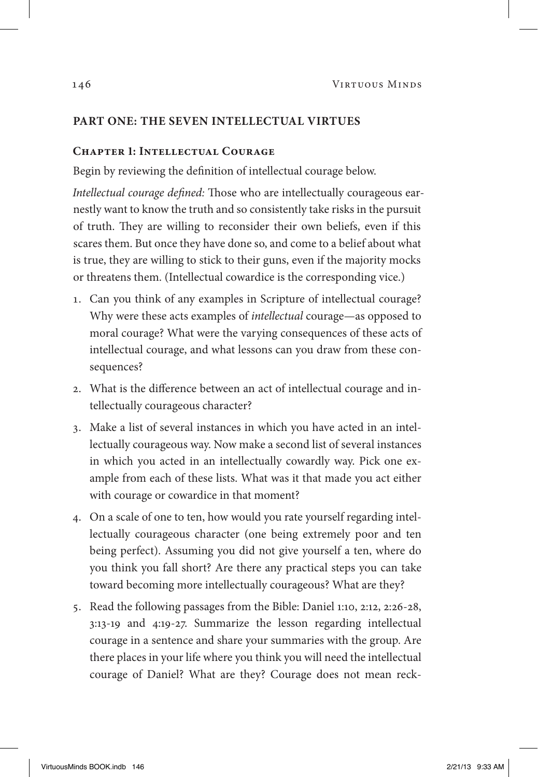## **Part One: The Seven Intellectual Virtues**

#### **Chapter 1: Intellectual Courage**

Begin by reviewing the definition of intellectual courage below.

*Intellectual courage defined:* Those who are intellectually courageous earnestly want to know the truth and so consistently take risks in the pursuit of truth. They are willing to reconsider their own beliefs, even if this scares them. But once they have done so, and come to a belief about what is true, they are willing to stick to their guns, even if the majority mocks or threatens them. (Intellectual cowardice is the corresponding vice.)

- 1. Can you think of any examples in Scripture of intellectual courage? Why were these acts examples of *intellectual* courage—as opposed to moral courage? What were the varying consequences of these acts of intellectual courage, and what lessons can you draw from these consequences?
- 2. What is the difference between an act of intellectual courage and intellectually courageous character?
- 3. Make a list of several instances in which you have acted in an intellectually courageous way. Now make a second list of several instances in which you acted in an intellectually cowardly way. Pick one example from each of these lists. What was it that made you act either with courage or cowardice in that moment?
- 4. On a scale of one to ten, how would you rate yourself regarding intellectually courageous character (one being extremely poor and ten being perfect). Assuming you did not give yourself a ten, where do you think you fall short? Are there any practical steps you can take toward becoming more intellectually courageous? What are they?
- 5. Read the following passages from the Bible: Daniel 1:10, 2:12, 2:26-28, 3:13-19 and 4:19-27. Summarize the lesson regarding intellectual courage in a sentence and share your summaries with the group. Are there places in your life where you think you will need the intellectual courage of Daniel? What are they? Courage does not mean reck-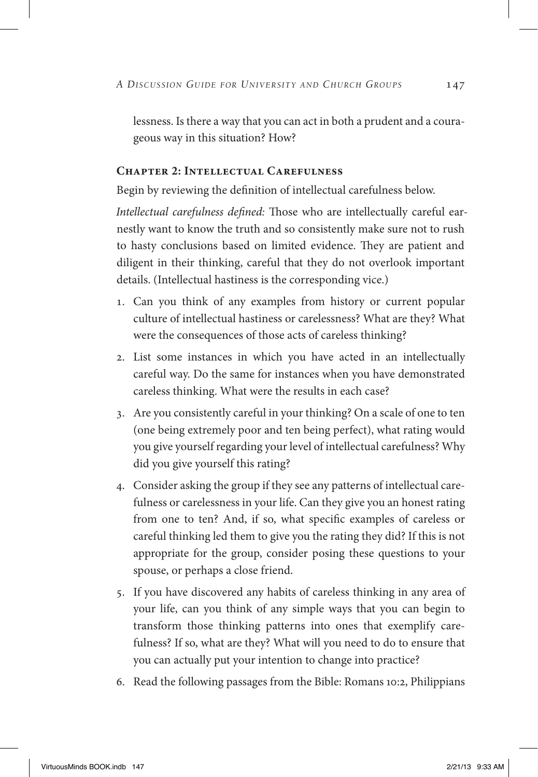lessness. Is there a way that you can act in both a prudent and a courageous way in this situation? How?

#### **Chapter 2: Intellectual Carefulness**

Begin by reviewing the definition of intellectual carefulness below.

*Intellectual carefulness defined:* Those who are intellectually careful earnestly want to know the truth and so consistently make sure not to rush to hasty conclusions based on limited evidence. They are patient and diligent in their thinking, careful that they do not overlook important details. (Intellectual hastiness is the corresponding vice.)

- 1. Can you think of any examples from history or current popular culture of intellectual hastiness or carelessness? What are they? What were the consequences of those acts of careless thinking?
- 2. List some instances in which you have acted in an intellectually careful way. Do the same for instances when you have demonstrated careless thinking. What were the results in each case?
- 3. Are you consistently careful in your thinking? On a scale of one to ten (one being extremely poor and ten being perfect), what rating would you give yourself regarding your level of intellectual carefulness? Why did you give yourself this rating?
- 4. Consider asking the group if they see any patterns of intellectual carefulness or carelessness in your life. Can they give you an honest rating from one to ten? And, if so, what specific examples of careless or careful thinking led them to give you the rating they did? If this is not appropriate for the group, consider posing these questions to your spouse, or perhaps a close friend.
- 5. If you have discovered any habits of careless thinking in any area of your life, can you think of any simple ways that you can begin to transform those thinking patterns into ones that exemplify carefulness? If so, what are they? What will you need to do to ensure that you can actually put your intention to change into practice?
- 6. Read the following passages from the Bible: Romans 10:2, Philippians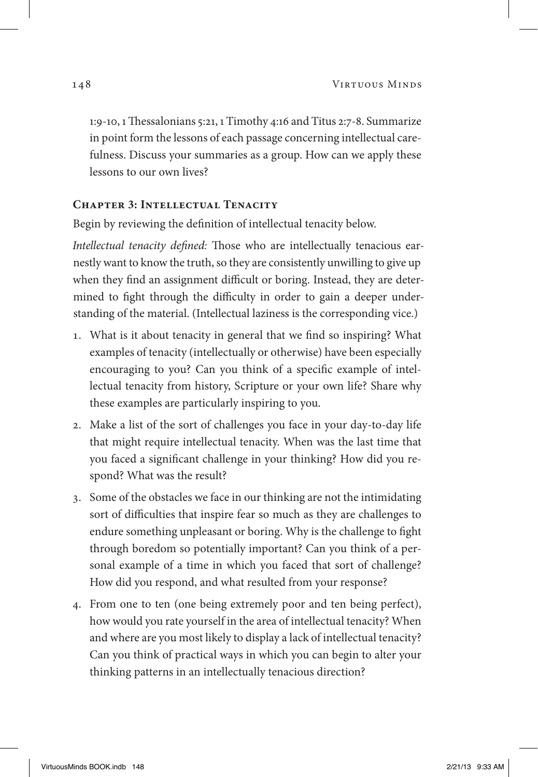1:9-10, 1 Thessalonians 5:21, 1 Timothy 4:16 and Titus 2:7-8. Summarize in point form the lessons of each passage concerning intellectual carefulness. Discuss your summaries as a group. How can we apply these lessons to our own lives?

## **Chapter 3: Intellectual Tenacity**

Begin by reviewing the definition of intellectual tenacity below.

*Intellectual tenacity defined:* Those who are intellectually tenacious earnestly want to know the truth, so they are consistently unwilling to give up when they find an assignment difficult or boring. Instead, they are determined to fight through the difficulty in order to gain a deeper understanding of the material. (Intellectual laziness is the corresponding vice.)

- 1. What is it about tenacity in general that we find so inspiring? What examples of tenacity (intellectually or otherwise) have been especially encouraging to you? Can you think of a specific example of intellectual tenacity from history, Scripture or your own life? Share why these examples are particularly inspiring to you.
- 2. Make a list of the sort of challenges you face in your day-to-day life that might require intellectual tenacity. When was the last time that you faced a significant challenge in your thinking? How did you respond? What was the result?
- 3. Some of the obstacles we face in our thinking are not the intimidating sort of difficulties that inspire fear so much as they are challenges to endure something unpleasant or boring. Why is the challenge to fight through boredom so potentially important? Can you think of a personal example of a time in which you faced that sort of challenge? How did you respond, and what resulted from your response?
- 4. From one to ten (one being extremely poor and ten being perfect), how would you rate yourself in the area of intellectual tenacity? When and where are you most likely to display a lack of intellectual tenacity? Can you think of practical ways in which you can begin to alter your thinking patterns in an intellectually tenacious direction?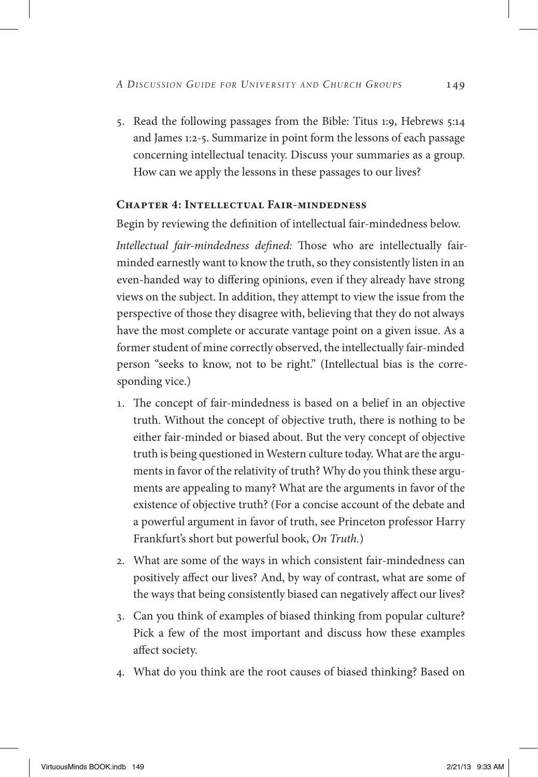5. Read the following passages from the Bible: Titus 1:9, Hebrews 5:14 and James 1:2-5. Summarize in point form the lessons of each passage concerning intellectual tenacity. Discuss your summaries as a group. How can we apply the lessons in these passages to our lives?

### **Chapter 4: Intellectual Fair-mindedness**

Begin by reviewing the definition of intellectual fair-mindedness below.

*Intellectual fair-mindedness defined:* Those who are intellectually fairminded earnestly want to know the truth, so they consistently listen in an even-handed way to differing opinions, even if they already have strong views on the subject. In addition, they attempt to view the issue from the perspective of those they disagree with, believing that they do not always have the most complete or accurate vantage point on a given issue. As a former student of mine correctly observed, the intellectually fair-minded person "seeks to know, not to be right." (Intellectual bias is the corresponding vice.)

- 1. The concept of fair-mindedness is based on a belief in an objective truth. Without the concept of objective truth, there is nothing to be either fair-minded or biased about. But the very concept of objective truth is being questioned in Western culture today. What are the arguments in favor of the relativity of truth? Why do you think these arguments are appealing to many? What are the arguments in favor of the existence of objective truth? (For a concise account of the debate and a powerful argument in favor of truth, see Princeton professor Harry Frankfurt's short but powerful book, *On Truth.*)
- 2. What are some of the ways in which consistent fair-mindedness can positively affect our lives? And, by way of contrast, what are some of the ways that being consistently biased can negatively affect our lives?
- 3. Can you think of examples of biased thinking from popular culture? Pick a few of the most important and discuss how these examples affect society.
- 4. What do you think are the root causes of biased thinking? Based on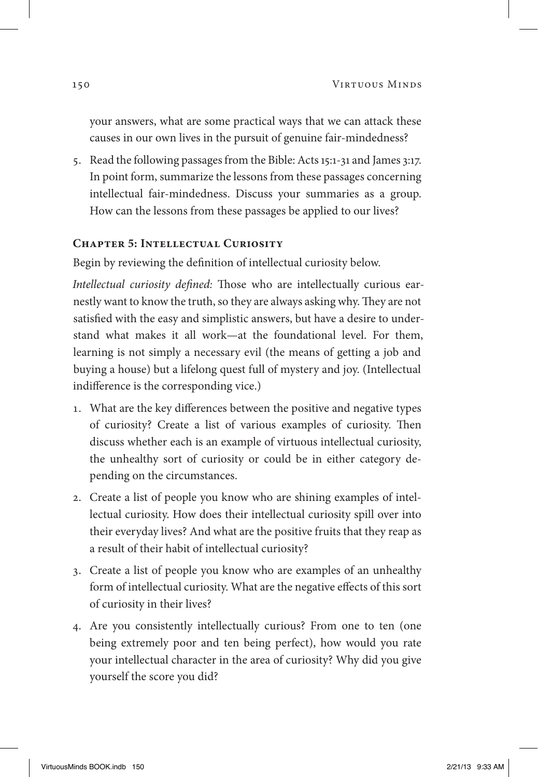your answers, what are some practical ways that we can attack these causes in our own lives in the pursuit of genuine fair-mindedness?

5. Read the following passages from the Bible: Acts 15:1-31 and James 3:17. In point form, summarize the lessons from these passages concerning intellectual fair-mindedness. Discuss your summaries as a group. How can the lessons from these passages be applied to our lives?

#### **Chapter 5: Intellectual Curiosity**

Begin by reviewing the definition of intellectual curiosity below.

*Intellectual curiosity defined:* Those who are intellectually curious earnestly want to know the truth, so they are always asking why. They are not satisfied with the easy and simplistic answers, but have a desire to understand what makes it all work—at the foundational level. For them, learning is not simply a necessary evil (the means of getting a job and buying a house) but a lifelong quest full of mystery and joy. (Intellectual indifference is the corresponding vice.)

- 1. What are the key differences between the positive and negative types of curiosity? Create a list of various examples of curiosity. Then discuss whether each is an example of virtuous intellectual curiosity, the unhealthy sort of curiosity or could be in either category depending on the circumstances.
- 2. Create a list of people you know who are shining examples of intellectual curiosity. How does their intellectual curiosity spill over into their everyday lives? And what are the positive fruits that they reap as a result of their habit of intellectual curiosity?
- 3. Create a list of people you know who are examples of an unhealthy form of intellectual curiosity. What are the negative effects of this sort of curiosity in their lives?
- 4. Are you consistently intellectually curious? From one to ten (one being extremely poor and ten being perfect), how would you rate your intellectual character in the area of curiosity? Why did you give yourself the score you did?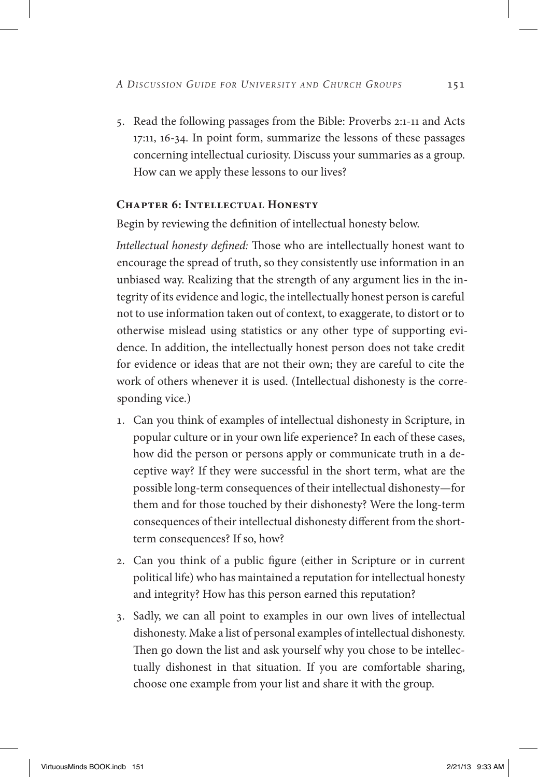5. Read the following passages from the Bible: Proverbs 2:1-11 and Acts 17:11, 16-34. In point form, summarize the lessons of these passages concerning intellectual curiosity. Discuss your summaries as a group. How can we apply these lessons to our lives?

## **Chapter 6: Intellectual Honesty**

Begin by reviewing the definition of intellectual honesty below.

*Intellectual honesty defined:* Those who are intellectually honest want to encourage the spread of truth, so they consistently use information in an unbiased way. Realizing that the strength of any argument lies in the integrity of its evidence and logic, the intellectually honest person is careful not to use information taken out of context, to exaggerate, to distort or to otherwise mislead using statistics or any other type of supporting evidence. In addition, the intellectually honest person does not take credit for evidence or ideas that are not their own; they are careful to cite the work of others whenever it is used. (Intellectual dishonesty is the corresponding vice.)

- 1. Can you think of examples of intellectual dishonesty in Scripture, in popular culture or in your own life experience? In each of these cases, how did the person or persons apply or communicate truth in a deceptive way? If they were successful in the short term, what are the possible long-term consequences of their intellectual dishonesty—for them and for those touched by their dishonesty? Were the long-term consequences of their intellectual dishonesty different from the shortterm consequences? If so, how?
- 2. Can you think of a public figure (either in Scripture or in current political life) who has maintained a reputation for intellectual honesty and integrity? How has this person earned this reputation?
- 3. Sadly, we can all point to examples in our own lives of intellectual dishonesty. Make a list of personal examples of intellectual dishonesty. Then go down the list and ask yourself why you chose to be intellectually dishonest in that situation. If you are comfortable sharing, choose one example from your list and share it with the group.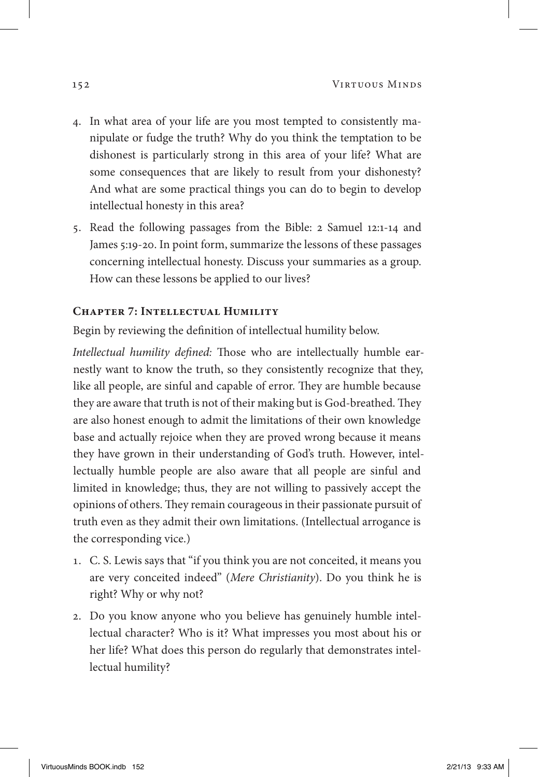- 4. In what area of your life are you most tempted to consistently manipulate or fudge the truth? Why do you think the temptation to be dishonest is particularly strong in this area of your life? What are some consequences that are likely to result from your dishonesty? And what are some practical things you can do to begin to develop intellectual honesty in this area?
- 5. Read the following passages from the Bible: 2 Samuel 12:1-14 and James 5:19-20. In point form, summarize the lessons of these passages concerning intellectual honesty. Discuss your summaries as a group. How can these lessons be applied to our lives?

#### **Chapter 7: Intellectual Humility**

Begin by reviewing the definition of intellectual humility below.

*Intellectual humility defined:* Those who are intellectually humble earnestly want to know the truth, so they consistently recognize that they, like all people, are sinful and capable of error. They are humble because they are aware that truth is not of their making but is God-breathed. They are also honest enough to admit the limitations of their own knowledge base and actually rejoice when they are proved wrong because it means they have grown in their understanding of God's truth. However, intellectually humble people are also aware that all people are sinful and limited in knowledge; thus, they are not willing to passively accept the opinions of others. They remain courageous in their passionate pursuit of truth even as they admit their own limitations. (Intellectual arrogance is the corresponding vice.)

- 1. C. S. Lewis says that "if you think you are not conceited, it means you are very conceited indeed" (*Mere Christianity*). Do you think he is right? Why or why not?
- 2. Do you know anyone who you believe has genuinely humble intellectual character? Who is it? What impresses you most about his or her life? What does this person do regularly that demonstrates intellectual humility?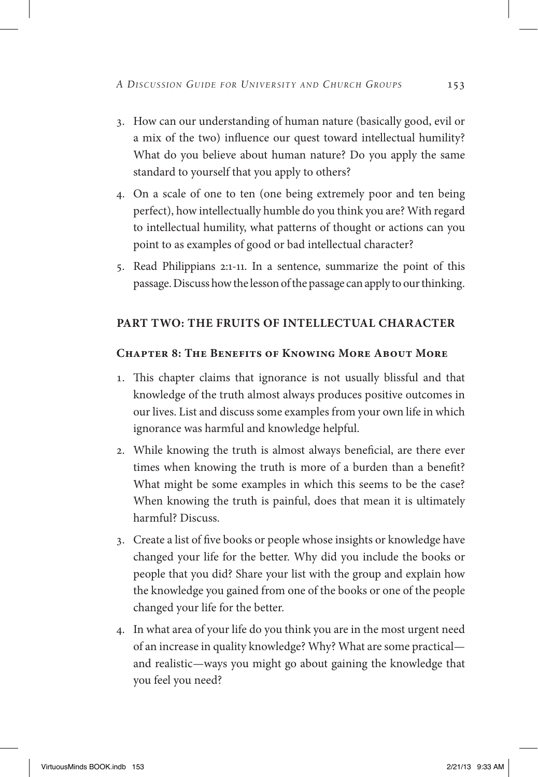- 3. How can our understanding of human nature (basically good, evil or a mix of the two) influence our quest toward intellectual humility? What do you believe about human nature? Do you apply the same standard to yourself that you apply to others?
- 4. On a scale of one to ten (one being extremely poor and ten being perfect), how intellectually humble do you think you are? With regard to intellectual humility, what patterns of thought or actions can you point to as examples of good or bad intellectual character?
- 5. Read Philippians 2:1-11. In a sentence, summarize the point of this passage. Discuss how the lesson of the passage can apply to our thinking.

## **Part Two: The Fruits of Intellectual Character**

#### **Chapter 8: The Benefits of Knowing More About More**

- 1. This chapter claims that ignorance is not usually blissful and that knowledge of the truth almost always produces positive outcomes in our lives. List and discuss some examples from your own life in which ignorance was harmful and knowledge helpful.
- 2. While knowing the truth is almost always beneficial, are there ever times when knowing the truth is more of a burden than a benefit? What might be some examples in which this seems to be the case? When knowing the truth is painful, does that mean it is ultimately harmful? Discuss.
- 3. Create a list of five books or people whose insights or knowledge have changed your life for the better. Why did you include the books or people that you did? Share your list with the group and explain how the knowledge you gained from one of the books or one of the people changed your life for the better.
- 4. In what area of your life do you think you are in the most urgent need of an increase in quality knowledge? Why? What are some practical and realistic—ways you might go about gaining the knowledge that you feel you need?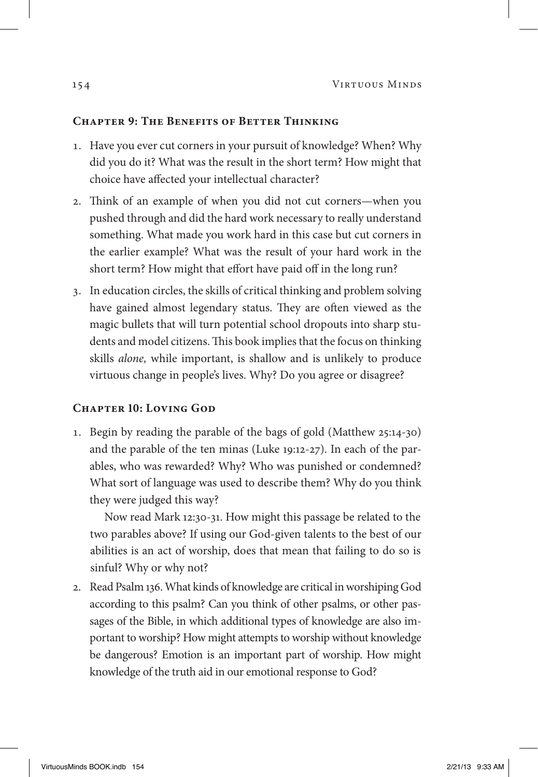#### **Chapter 9: The Benefits of Better Thinking**

- 1. Have you ever cut corners in your pursuit of knowledge? When? Why did you do it? What was the result in the short term? How might that choice have affected your intellectual character?
- 2. Think of an example of when you did not cut corners—when you pushed through and did the hard work necessary to really understand something. What made you work hard in this case but cut corners in the earlier example? What was the result of your hard work in the short term? How might that effort have paid off in the long run?
- 3. In education circles, the skills of critical thinking and problem solving have gained almost legendary status. They are often viewed as the magic bullets that will turn potential school dropouts into sharp students and model citizens. This book implies that the focus on thinking skills *alone,* while important, is shallow and is unlikely to produce virtuous change in people's lives. Why? Do you agree or disagree?

#### **Chapter 10: Loving God**

1. Begin by reading the parable of the bags of gold (Matthew 25:14-30) and the parable of the ten minas (Luke 19:12-27). In each of the parables, who was rewarded? Why? Who was punished or condemned? What sort of language was used to describe them? Why do you think they were judged this way?

Now read Mark 12:30-31. How might this passage be related to the two parables above? If using our God-given talents to the best of our abilities is an act of worship, does that mean that failing to do so is sinful? Why or why not?

2. Read Psalm 136. What kinds of knowledge are critical in worshiping God according to this psalm? Can you think of other psalms, or other passages of the Bible, in which additional types of knowledge are also important to worship? How might attempts to worship without knowledge be dangerous? Emotion is an important part of worship. How might knowledge of the truth aid in our emotional response to God?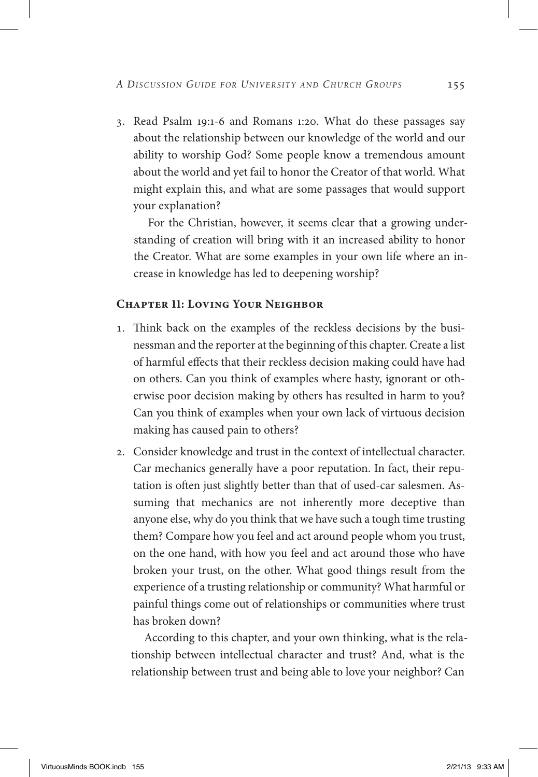3. Read Psalm 19:1-6 and Romans 1:20. What do these passages say about the relationship between our knowledge of the world and our ability to worship God? Some people know a tremendous amount about the world and yet fail to honor the Creator of that world. What might explain this, and what are some passages that would support your explanation?

For the Christian, however, it seems clear that a growing understanding of creation will bring with it an increased ability to honor the Creator. What are some examples in your own life where an increase in knowledge has led to deepening worship?

#### **Chapter 11: Loving Your Neighbor**

- 1. Think back on the examples of the reckless decisions by the businessman and the reporter at the beginning of this chapter. Create a list of harmful effects that their reckless decision making could have had on others. Can you think of examples where hasty, ignorant or otherwise poor decision making by others has resulted in harm to you? Can you think of examples when your own lack of virtuous decision making has caused pain to others?
- 2. Consider knowledge and trust in the context of intellectual character. Car mechanics generally have a poor reputation. In fact, their reputation is often just slightly better than that of used-car salesmen. Assuming that mechanics are not inherently more deceptive than anyone else, why do you think that we have such a tough time trusting them? Compare how you feel and act around people whom you trust, on the one hand, with how you feel and act around those who have broken your trust, on the other. What good things result from the experience of a trusting relationship or community? What harmful or painful things come out of relationships or communities where trust has broken down?

According to this chapter, and your own thinking, what is the relationship between intellectual character and trust? And, what is the relationship between trust and being able to love your neighbor? Can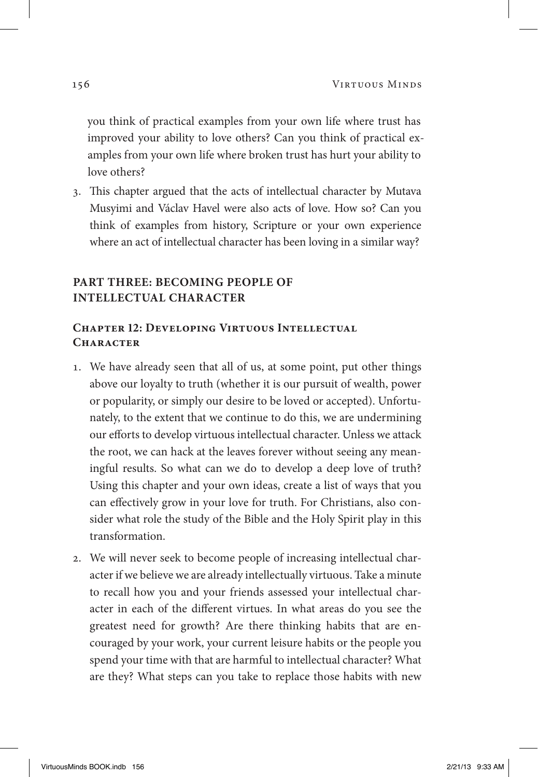you think of practical examples from your own life where trust has improved your ability to love others? Can you think of practical examples from your own life where broken trust has hurt your ability to love others?

3. This chapter argued that the acts of intellectual character by Mutava Musyimi and Václav Havel were also acts of love. How so? Can you think of examples from history, Scripture or your own experience where an act of intellectual character has been loving in a similar way?

## **Part Three: Becoming People of Intellectual Character**

## **Chapter 12: Developing Virtuous Intellectual Character**

- 1. We have already seen that all of us, at some point, put other things above our loyalty to truth (whether it is our pursuit of wealth, power or popularity, or simply our desire to be loved or accepted). Unfortunately, to the extent that we continue to do this, we are undermining our efforts to develop virtuous intellectual character. Unless we attack the root, we can hack at the leaves forever without seeing any meaningful results. So what can we do to develop a deep love of truth? Using this chapter and your own ideas, create a list of ways that you can effectively grow in your love for truth. For Christians, also consider what role the study of the Bible and the Holy Spirit play in this transformation.
- 2. We will never seek to become people of increasing intellectual character if we believe we are already intellectually virtuous. Take a minute to recall how you and your friends assessed your intellectual character in each of the different virtues. In what areas do you see the greatest need for growth? Are there thinking habits that are encouraged by your work, your current leisure habits or the people you spend your time with that are harmful to intellectual character? What are they? What steps can you take to replace those habits with new